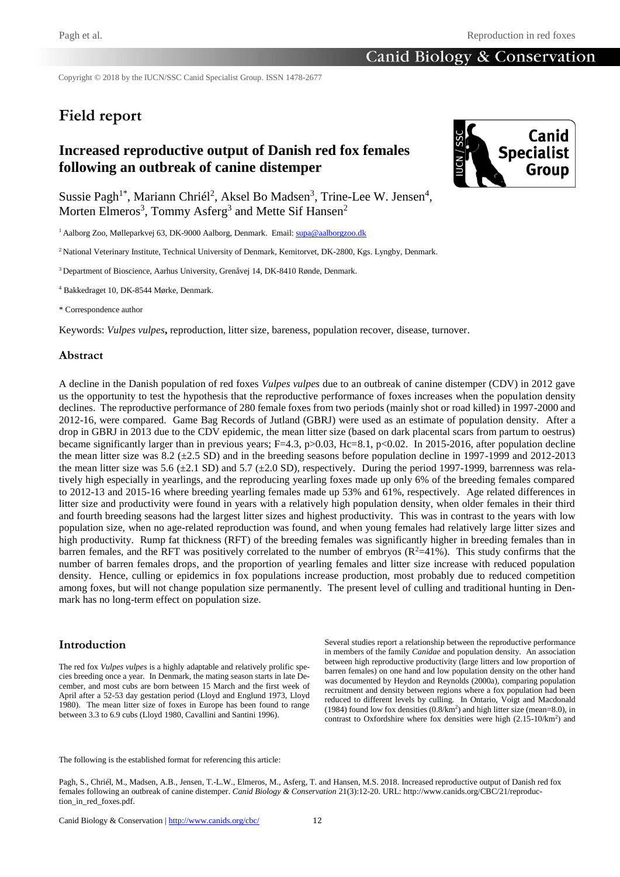Copyright © 2018 by the IUCN/SSC Canid Specialist Group. ISSN 1478-2677

# **Field report**

# **Increased reproductive output of Danish red fox females following an outbreak of canine distemper**



Sussie Pagh<sup>1\*</sup>, Mariann Chriél<sup>2</sup>, Aksel Bo Madsen<sup>3</sup>, Trine-Lee W. Jensen<sup>4</sup>, Morten Elmeros<sup>3</sup>, Tommy Asferg<sup>3</sup> and Mette Sif Hansen<sup>2</sup>

<sup>1</sup> Aalborg Zoo, Mølleparkvej 63, DK-9000 Aalborg, Denmark. Email[: supa@aalborgzoo.dk](mailto:supa@aalborgzoo.dk)

<sup>2</sup> National Veterinary Institute, Technical University of Denmark, Kemitoryet, DK-2800, Kgs. Lyngby, Denmark.

<sup>3</sup> Department of Bioscience, Aarhus University, Grenåvej 14, DK-8410 Rønde, Denmark.

<sup>4</sup> Bakkedraget 10, DK-8544 Mørke, Denmark.

\* Correspondence author

Keywords: *Vulpes vulpes***,** reproduction, litter size, bareness, population recover, disease, turnover.

### **Abstract**

A decline in the Danish population of red foxes *Vulpes vulpes* due to an outbreak of canine distemper (CDV) in 2012 gave us the opportunity to test the hypothesis that the reproductive performance of foxes increases when the population density declines. The reproductive performance of 280 female foxes from two periods (mainly shot or road killed) in 1997-2000 and 2012-16, were compared. Game Bag Records of Jutland (GBRJ) were used as an estimate of population density. After a drop in GBRJ in 2013 due to the CDV epidemic, the mean litter size (based on dark placental scars from partum to oestrus) became significantly larger than in previous years;  $F=4.3$ ,  $p>0.03$ ,  $Hc=8.1$ ,  $p<0.02$ . In 2015-2016, after population decline the mean litter size was 8.2 (±2.5 SD) and in the breeding seasons before population decline in 1997-1999 and 2012-2013 the mean litter size was 5.6 ( $\pm$ 2.1 SD) and 5.7 ( $\pm$ 2.0 SD), respectively. During the period 1997-1999, barrenness was relatively high especially in yearlings, and the reproducing yearling foxes made up only 6% of the breeding females compared to 2012-13 and 2015-16 where breeding yearling females made up 53% and 61%, respectively. Age related differences in litter size and productivity were found in years with a relatively high population density, when older females in their third and fourth breeding seasons had the largest litter sizes and highest productivity. This was in contrast to the years with low population size, when no age-related reproduction was found, and when young females had relatively large litter sizes and high productivity. Rump fat thickness (RFT) of the breeding females was significantly higher in breeding females than in barren females, and the RFT was positively correlated to the number of embryos  $(R<sup>2</sup>=41%)$ . This study confirms that the number of barren females drops, and the proportion of yearling females and litter size increase with reduced population density. Hence, culling or epidemics in fox populations increase production, most probably due to reduced competition among foxes, but will not change population size permanently. The present level of culling and traditional hunting in Denmark has no long-term effect on population size.

### **Introduction**

The red fox *Vulpes vulpes* is a highly adaptable and relatively prolific species breeding once a year. In Denmark, the mating season starts in late December, and most cubs are born between 15 March and the first week of April after a 52-53 day gestation period (Lloyd and Englund 1973, Lloyd 1980). The mean litter size of foxes in Europe has been found to range between 3.3 to 6.9 cubs (Lloyd 1980, Cavallini and Santini 1996).

Several studies report a relationship between the reproductive performance in members of the family *Canidae* and population density. An association between high reproductive productivity (large litters and low proportion of barren females) on one hand and low population density on the other hand was documented by Heydon and Reynolds (2000a), comparing population recruitment and density between regions where a fox population had been reduced to different levels by culling. In Ontario, Voigt and Macdonald (1984) found low fox densities (0.8/km<sup>2</sup> ) and high litter size (mean=8.0), in contrast to Oxfordshire where fox densities were high  $(2.15-10/km^2)$  and

The following is the established format for referencing this article:

Pagh, S., Chriél, M., Madsen, A.B., Jensen, T.-L.W., Elmeros, M., Asferg, T. and Hansen, M.S. 2018. Increased reproductive output of Danish red fox females following an outbreak of canine distemper. *Canid Biology & Conservation* 21(3):12-20. URL: http://www.canids.org/CBC/21/reproduction\_in\_red\_foxes.pdf.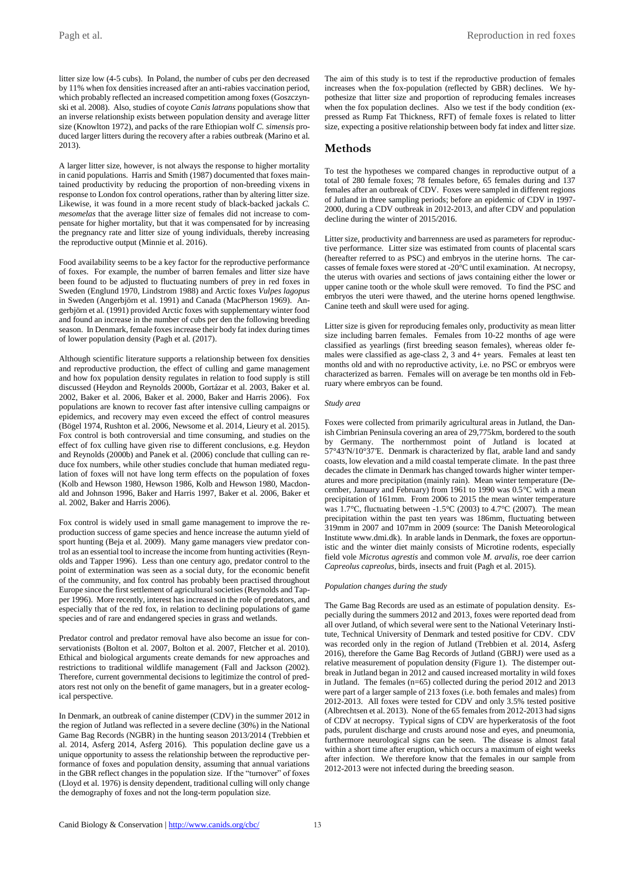Pagh et al. Reproduction in red foxes

litter size low (4-5 cubs). In Poland, the number of cubs per den decreased by 11% when fox densities increased after an anti-rabies vaccination period, which probably reflected an increased competition among foxes (Goszczynski et al. 2008). Also, studies of coyote *Canis latrans* populations show that an inverse relationship exists between population density and average litter size (Knowlton 1972), and packs of the rare Ethiopian wolf *C. simensis* produced larger litters during the recovery after a rabies outbreak (Marino et al. 2013).

A larger litter size, however, is not always the response to higher mortality in canid populations. Harris and Smith (1987) documented that foxes maintained productivity by reducing the proportion of non-breeding vixens in response to London fox control operations, rather than by altering litter size. Likewise, it was found in a more recent study of black-backed jackals *C. mesomelas* that the average litter size of females did not increase to compensate for higher mortality, but that it was compensated for by increasing the pregnancy rate and litter size of young individuals, thereby increasing the reproductive output (Minnie et al. 2016).

Food availability seems to be a key factor for the reproductive performance of foxes. For example, the number of barren females and litter size have been found to be adjusted to fluctuating numbers of prey in red foxes in Sweden (Englund 1970, Lindstrom 1988) and Arctic foxes *Vulpes lagopus* in Sweden (Angerbjörn et al. 1991) and Canada (MacPherson 1969). Angerbjörn et al. (1991) provided Arctic foxes with supplementary winter food and found an increase in the number of cubs per den the following breeding season. In Denmark, female foxes increase their body fat index during times of lower population density (Pagh et al. (2017).

Although scientific literature supports a relationship between fox densities and reproductive production, the effect of culling and game management and how fox population density regulates in relation to food supply is still discussed (Heydon and Reynolds 2000b, Gortázar et al. 2003, Baker et al. 2002, Baker et al. 2006, Baker et al. 2000, Baker and Harris 2006). Fox populations are known to recover fast after intensive culling campaigns or epidemics, and recovery may even exceed the effect of control measures (Bögel 1974, Rushton et al. 2006, Newsome et al. 2014, Lieury et al. 2015). Fox control is both controversial and time consuming, and studies on the effect of fox culling have given rise to different conclusions, e.g. Heydon and Reynolds (2000b) and Panek et al. (2006) conclude that culling can reduce fox numbers, while other studies conclude that human mediated regulation of foxes will not have long term effects on the population of foxes (Kolb and Hewson 1980, Hewson 1986, Kolb and Hewson 1980, Macdonald and Johnson 1996, Baker and Harris 1997, Baker et al. 2006, Baker et al. 2002, Baker and Harris 2006).

Fox control is widely used in small game management to improve the reproduction success of game species and hence increase the autumn yield of sport hunting (Beja et al. 2009). Many game managers view predator control as an essential tool to increase the income from hunting activities (Reynolds and Tapper 1996). Less than one century ago, predator control to the point of extermination was seen as a social duty, for the economic benefit of the community, and fox control has probably been practised throughout Europe since the first settlement of agricultural societies (Reynolds and Tapper 1996). More recently, interest has increased in the role of predators, and especially that of the red fox, in relation to declining populations of game species and of rare and endangered species in grass and wetlands.

Predator control and predator removal have also become an issue for conservationists (Bolton et al. 2007, Bolton et al. 2007, Fletcher et al. 2010). Ethical and biological arguments create demands for new approaches and restrictions to traditional wildlife management (Fall and Jackson (2002). Therefore, current governmental decisions to legitimize the control of predators rest not only on the benefit of game managers, but in a greater ecological perspective.

In Denmark, an outbreak of canine distemper (CDV) in the summer 2012 in the region of Jutland was reflected in a severe decline (30%) in the National Game Bag Records (NGBR) in the hunting season 2013/2014 (Trebbien et al. 2014, Asferg 2014, Asferg 2016). This population decline gave us a unique opportunity to assess the relationship between the reproductive performance of foxes and population density, assuming that annual variations in the GBR reflect changes in the population size. If the "turnover" of foxes (Lloyd et al. 1976) is density dependent, traditional culling will only change the demography of foxes and not the long-term population size.

The aim of this study is to test if the reproductive production of females increases when the fox-population (reflected by GBR) declines. We hypothesize that litter size and proportion of reproducing females increases when the fox population declines. Also we test if the body condition (expressed as Rump Fat Thickness, RFT) of female foxes is related to litter size, expecting a positive relationship between body fat index and litter size.

### **Methods**

To test the hypotheses we compared changes in reproductive output of a total of 280 female foxes; 78 females before, 65 females during and 137 females after an outbreak of CDV. Foxes were sampled in different regions of Jutland in three sampling periods; before an epidemic of CDV in 1997- 2000, during a CDV outbreak in 2012-2013, and after CDV and population decline during the winter of 2015/2016.

Litter size, productivity and barrenness are used as parameters for reproductive performance. Litter size was estimated from counts of placental scars (hereafter referred to as PSC) and embryos in the uterine horns. The carcasses of female foxes were stored at -20°C until examination. At necropsy, the uterus with ovaries and sections of jaws containing either the lower or upper canine tooth or the whole skull were removed. To find the PSC and embryos the uteri were thawed, and the uterine horns opened lengthwise. Canine teeth and skull were used for aging.

Litter size is given for reproducing females only, productivity as mean litter size including barren females. Females from 10-22 months of age were classified as yearlings (first breeding season females), whereas older females were classified as age-class 2, 3 and 4+ years. Females at least ten months old and with no reproductive activity, i.e. no PSC or embryos were characterized as barren. Females will on average be ten months old in February where embryos can be found.

### *Study area*

Foxes were collected from primarily agricultural areas in Jutland, the Danish Cimbrian Peninsula covering an area of 29,775km, bordered to the south by Germany. The northernmost point of Jutland is located at 57°43′N/10°37′E. Denmark is characterized by flat, arable land and sandy coasts, low elevation and a mild coastal temperate climate. In the past three decades the climate in Denmark has changed towards higher winter temperatures and more precipitation (mainly rain). Mean winter temperature (December, January and February) from 1961 to 1990 was 0.5°C with a mean precipitation of 161mm. From 2006 to 2015 the mean winter temperature was  $1.7^{\circ}$ C, fluctuating between -1.5 $^{\circ}$ C (2003) to 4.7 $^{\circ}$ C (2007). The mean precipitation within the past ten years was 186mm, fluctuating between 319mm in 2007 and 107mm in 2009 (source: The Danish Meteorological Institute [www.dmi.dk\)](http://www.dmi.dk/). In arable lands in Denmark, the foxes are opportunistic and the winter diet mainly consists of Microtine rodents, especially field vole *Microtus agrestis* and common vole *M. arvalis*, roe deer carrion *Capreolus capreolus*, birds, insects and fruit (Pagh et al. 2015).

### *Population changes during the study*

The Game Bag Records are used as an estimate of population density. Especially during the summers 2012 and 2013, foxes were reported dead from all over Jutland, of which several were sent to the National Veterinary Institute, Technical University of Denmark and tested positive for CDV. CDV was recorded only in the region of Jutland (Trebbien et al. 2014, Asferg 2016), therefore the Game Bag Records of Jutland (GBRJ) were used as a relative measurement of population density (Figure 1). The distemper outbreak in Jutland began in 2012 and caused increased mortality in wild foxes in Jutland. The females (n=65) collected during the period 2012 and 2013 were part of a larger sample of 213 foxes (i.e. both females and males) from 2012-2013. All foxes were tested for CDV and only 3.5% tested positive (Albrechtsen et al. 2013). None of the 65 females from 2012-2013 had signs of CDV at necropsy. Typical signs of CDV are hyperkeratosis of the foot pads, purulent discharge and crusts around nose and eyes, and pneumonia, furthermore neurological signs can be seen. The disease is almost fatal within a short time after eruption, which occurs a maximum of eight weeks after infection. We therefore know that the females in our sample from 2012-2013 were not infected during the breeding season.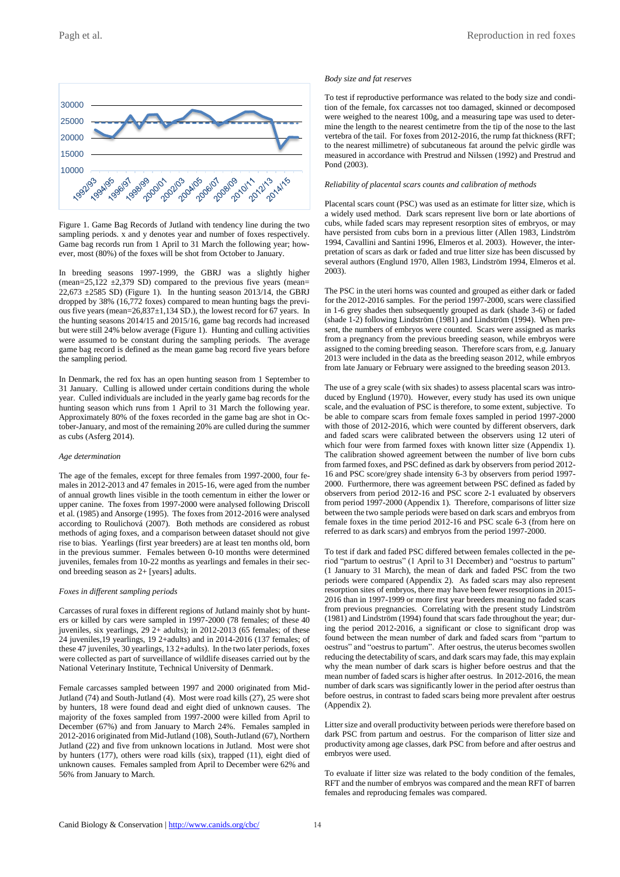

Figure 1. Game Bag Records of Jutland with tendency line during the two sampling periods. x and y denotes year and number of foxes respectively. Game bag records run from 1 April to 31 March the following year; however, most (80%) of the foxes will be shot from October to January.

In breeding seasons 1997-1999, the GBRJ was a slightly higher (mean=25,122  $\pm$ 2,379 SD) compared to the previous five years (mean=  $22,673 \pm 2585$  SD) (Figure 1). In the hunting season 2013/14, the GBRJ dropped by 38% (16,772 foxes) compared to mean hunting bags the previous five years (mean=26,837±1,134 SD.), the lowest record for 67 years. In the hunting seasons 2014/15 and 2015/16, game bag records had increased but were still 24% below average (Figure 1). Hunting and culling activities were assumed to be constant during the sampling periods. The average game bag record is defined as the mean game bag record five years before the sampling period.

In Denmark, the red fox has an open hunting season from 1 September to 31 January. Culling is allowed under certain conditions during the whole year. Culled individuals are included in the yearly game bag records for the hunting season which runs from 1 April to 31 March the following year. Approximately 80% of the foxes recorded in the game bag are shot in October-January, and most of the remaining 20% are culled during the summer as cubs (Asferg 2014).

### *Age determination*

The age of the females, except for three females from 1997-2000, four females in 2012-2013 and 47 females in 2015-16, were aged from the number of annual growth lines visible in the tooth cementum in either the lower or upper canine. The foxes from 1997-2000 were analysed following Driscoll et al. (1985) and Ansorge (1995). The foxes from 2012-2016 were analysed according to Roulichová (2007). Both methods are considered as robust methods of aging foxes, and a comparison between dataset should not give rise to bias. Yearlings (first year breeders) are at least ten months old, born in the previous summer. Females between 0-10 months were determined juveniles, females from 10-22 months as yearlings and females in their second breeding season as 2+ [years] adults.

#### *Foxes in different sampling periods*

Carcasses of rural foxes in different regions of Jutland mainly shot by hunters or killed by cars were sampled in 1997-2000 (78 females; of these 40 juveniles, six yearlings, 29 2+ adults); in 2012-2013 (65 females; of these 24 juveniles,19 yearlings, 19 2+adults) and in 2014-2016 (137 females; of these 47 juveniles, 30 yearlings, 13 2+adults). In the two later periods, foxes were collected as part of surveillance of wildlife diseases carried out by the National Veterinary Institute, Technical University of Denmark.

Female carcasses sampled between 1997 and 2000 originated from Mid-Jutland (74) and South-Jutland (4). Most were road kills (27), 25 were shot by hunters, 18 were found dead and eight died of unknown causes. The majority of the foxes sampled from 1997-2000 were killed from April to December (67%) and from January to March 24%. Females sampled in 2012-2016 originated from Mid-Jutland (108), South-Jutland (67), Northern Jutland (22) and five from unknown locations in Jutland. Most were shot by hunters (177), others were road kills (six), trapped (11), eight died of unknown causes. Females sampled from April to December were 62% and 56% from January to March.

#### *Body size and fat reserves*

To test if reproductive performance was related to the body size and condition of the female, fox carcasses not too damaged, skinned or decomposed were weighed to the nearest 100g, and a measuring tape was used to determine the length to the nearest centimetre from the tip of the nose to the last vertebra of the tail. For foxes from 2012-2016, the rump fat thickness (RFT; to the nearest millimetre) of subcutaneous fat around the pelvic girdle was measured in accordance with Prestrud and Nilssen (1992) and Prestrud and Pond (2003).

#### *Reliability of placental scars counts and calibration of methods*

Placental scars count (PSC) was used as an estimate for litter size, which is a widely used method. Dark scars represent live born or late abortions of cubs, while faded scars may represent resorption sites of embryos, or may have persisted from cubs born in a previous litter (Allen 1983, Lindström 1994, Cavallini and Santini 1996, Elmeros et al. 2003). However, the interpretation of scars as dark or faded and true litter size has been discussed by several authors (Englund 1970, Allen 1983, Lindström 1994, Elmeros et al. 2003).

The PSC in the uteri horns was counted and grouped as either dark or faded for the 2012-2016 samples. For the period 1997-2000, scars were classified in 1-6 grey shades then subsequently grouped as dark (shade 3-6) or faded (shade 1-2) following Lindström (1981) and Lindström (1994). When present, the numbers of embryos were counted. Scars were assigned as marks from a pregnancy from the previous breeding season, while embryos were assigned to the coming breeding season. Therefore scars from, e.g. January 2013 were included in the data as the breeding season 2012, while embryos from late January or February were assigned to the breeding season 2013.

The use of a grey scale (with six shades) to assess placental scars was introduced by Englund (1970). However, every study has used its own unique scale, and the evaluation of PSC is therefore, to some extent, subjective. To be able to compare scars from female foxes sampled in period 1997-2000 with those of 2012-2016, which were counted by different observers, dark and faded scars were calibrated between the observers using 12 uteri of which four were from farmed foxes with known litter size (Appendix 1). The calibration showed agreement between the number of live born cubs from farmed foxes, and PSC defined as dark by observers from period 2012- 16 and PSC score/grey shade intensity 6-3 by observers from period 1997- 2000. Furthermore, there was agreement between PSC defined as faded by observers from period 2012-16 and PSC score 2-1 evaluated by observers from period 1997-2000 (Appendix 1). Therefore, comparisons of litter size between the two sample periods were based on dark scars and embryos from female foxes in the time period 2012-16 and PSC scale 6-3 (from here on referred to as dark scars) and embryos from the period 1997-2000.

To test if dark and faded PSC differed between females collected in the period "partum to oestrus" (1 April to 31 December) and "oestrus to partum" (1 January to 31 March), the mean of dark and faded PSC from the two periods were compared (Appendix 2). As faded scars may also represent resorption sites of embryos, there may have been fewer resorptions in 2015- 2016 than in 1997-1999 or more first year breeders meaning no faded scars from previous pregnancies. Correlating with the present study Lindström (1981) and Lindström (1994) found that scars fade throughout the year; during the period 2012-2016, a significant or close to significant drop was found between the mean number of dark and faded scars from "partum to oestrus" and "oestrus to partum". After oestrus, the uterus becomes swollen reducing the detectability of scars, and dark scars may fade, this may explain why the mean number of dark scars is higher before oestrus and that the mean number of faded scars is higher after oestrus. In 2012-2016, the mean number of dark scars was significantly lower in the period after oestrus than before oestrus, in contrast to faded scars being more prevalent after oestrus (Appendix 2).

Litter size and overall productivity between periods were therefore based on dark PSC from partum and oestrus. For the comparison of litter size and productivity among age classes, dark PSC from before and after oestrus and embryos were used.

To evaluate if litter size was related to the body condition of the females, RFT and the number of embryos was compared and the mean RFT of barren females and reproducing females was compared.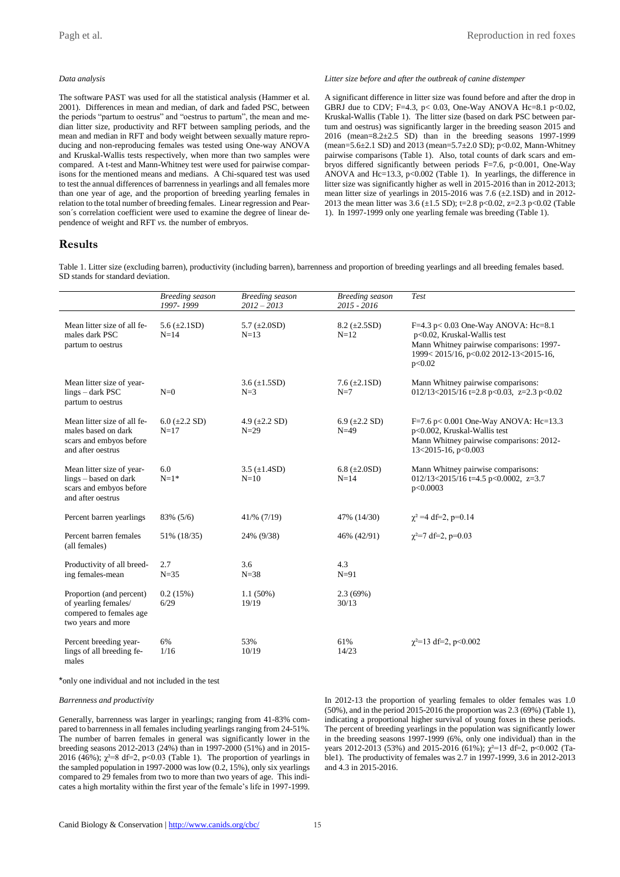### *Data analysis*

The software PAST was used for all the statistical analysis (Hammer et al. 2001). Differences in mean and median, of dark and faded PSC, between the periods "partum to oestrus" and "oestrus to partum", the mean and median litter size, productivity and RFT between sampling periods, and the mean and median in RFT and body weight between sexually mature reproducing and non-reproducing females was tested using One-way ANOVA and Kruskal-Wallis tests respectively, when more than two samples were compared. A t-test and Mann-Whitney test were used for pairwise comparisons for the mentioned means and medians. A Chi-squared test was used to test the annual differences of barrenness in yearlings and all females more than one year of age, and the proportion of breeding yearling females in relation to the total number of breeding females. Linear regression and Pearson´s correlation coefficient were used to examine the degree of linear dependence of weight and RFT *vs.* the number of embryos.

*Litter size before and after the outbreak of canine distemper*

A significant difference in litter size was found before and after the drop in GBRJ due to CDV; F=4.3, p< 0.03, One-Way ANOVA Hc=8.1 p<0.02, Kruskal-Wallis (Table 1). The litter size (based on dark PSC between partum and oestrus) was significantly larger in the breeding season 2015 and 2016 (mean=8.2±2.5 SD) than in the breeding seasons 1997-1999 (mean=5.6 $\pm$ 2.1 SD) and 2013 (mean=5.7 $\pm$ 2.0 SD); p<0.02, Mann-Whitney pairwise comparisons (Table 1). Also, total counts of dark scars and embryos differed significantly between periods F=7.6, p<0.001, One-Way ANOVA and Hc=13.3, p<0.002 (Table 1). In yearlings, the difference in litter size was significantly higher as well in 2015-2016 than in 2012-2013; mean litter size of yearlings in 2015-2016 was 7.6  $(\pm 2.1SD)$  and in 2012-2013 the mean litter was 3.6 (±1.5 SD); t=2.8 p<0.02, z=2.3 p<0.02 (Table 1). In 1997-1999 only one yearling female was breeding (Table 1).

### **Results**

Table 1. Litter size (excluding barren), productivity (including barren), barrenness and proportion of breeding yearlings and all breeding females based. SD stands for standard deviation.

|                                                                                                    | <b>Breeding</b> season<br>1997-1999 | <b>Breeding</b> season<br>$2012 - 2013$ | <b>Breeding</b> season<br>2015 - 2016 | <b>Test</b>                                                                                                                                                         |
|----------------------------------------------------------------------------------------------------|-------------------------------------|-----------------------------------------|---------------------------------------|---------------------------------------------------------------------------------------------------------------------------------------------------------------------|
| Mean litter size of all fe-<br>males dark PSC<br>partum to oestrus                                 | 5.6 $(\pm 2.1SD)$<br>$N=14$         | 5.7 $(\pm 2.0SD)$<br>$N=13$             | $8.2 \ (\pm 2.5SD)$<br>$N=12$         | F=4.3 p< $0.03$ One-Way ANOVA: Hc=8.1<br>p<0.02, Kruskal-Wallis test<br>Mann Whitney pairwise comparisons: 1997-<br>1999<2015/16, p<0.02 2012-13<2015-16,<br>p<0.02 |
| Mean litter size of year-<br>lings – dark PSC<br>partum to oestrus                                 | $N=0$                               | $3.6 (\pm 1.5SD)$<br>$N=3$              | 7.6 $(\pm 2.1SD)$<br>$N=7$            | Mann Whitney pairwise comparisons:<br>012/13<2015/16 t=2.8 p<0.03, z=2.3 p<0.02                                                                                     |
| Mean litter size of all fe-<br>males based on dark<br>scars and embyos before<br>and after oestrus | $6.0 \ (\pm 2.2 \ SD)$<br>$N=17$    | 4.9 $(\pm 2.2$ SD)<br>$N=29$            | 6.9 $(\pm 2.2$ SD)<br>$N=49$          | F=7.6 p< 0.001 One-Way ANOVA: Hc=13.3<br>p<0.002, Kruskal-Wallis test<br>Mann Whitney pairwise comparisons: 2012-<br>13<2015-16, $p<0.003$                          |
| Mean litter size of year-<br>lings - based on dark<br>scars and embyos before<br>and after oestrus | 6.0<br>$N=1*$                       | 3.5 $(\pm 1.4SD)$<br>$N=10$             | 6.8 $(\pm 2.0SD)$<br>$N=14$           | Mann Whitney pairwise comparisons:<br>012/13<2015/16 t=4.5 p<0.0002, z=3.7<br>p<0.0003                                                                              |
| Percent barren yearlings                                                                           | 83% (5/6)                           | 41/% (7/19)                             | 47% (14/30)                           | $\chi^2$ =4 df=2, p=0.14                                                                                                                                            |
| Percent barren females<br>(all females)                                                            | 51% (18/35)                         | 24% (9/38)                              | 46% (42/91)                           | $\chi^2$ =7 df=2, p=0.03                                                                                                                                            |
| Productivity of all breed-<br>ing females-mean                                                     | 2.7<br>$N = 35$                     | 3.6<br>$N = 38$                         | 4.3<br>$N=91$                         |                                                                                                                                                                     |
| Proportion (and percent)<br>of yearling females/<br>compered to females age<br>two years and more  | 0.2(15%)<br>6/29                    | $1.1(50\%)$<br>19/19                    | 2.3(69%)<br>30/13                     |                                                                                                                                                                     |
| Percent breeding year-<br>lings of all breeding fe-<br>males                                       | 6%<br>1/16                          | 53%<br>10/19                            | 61%<br>14/23                          | $\gamma^2$ =13 df=2, p<0.002                                                                                                                                        |

\*only one individual and not included in the test

### *Barrenness and productivity*

Generally, barrenness was larger in yearlings; ranging from 41-83% compared to barrenness in all females including yearlings ranging from 24-51%. The number of barren females in general was significantly lower in the breeding seasons 2012-2013 (24%) than in 1997-2000 (51%) and in 2015- 2016 (46%);  $\chi^2=8$  df=2, p<0.03 (Table 1). The proportion of yearlings in the sampled population in 1997-2000 was low (0.2, 15%), only six yearlings compared to 29 females from two to more than two years of age. This indicates a high mortality within the first year of the female's life in 1997-1999.

In 2012-13 the proportion of yearling females to older females was 1.0 (50%), and in the period 2015-2016 the proportion was 2.3 (69%) (Table 1), indicating a proportional higher survival of young foxes in these periods. The percent of breeding yearlings in the population was significantly lower in the breeding seasons 1997-1999 (6%, only one individual) than in the years 2012-2013 (53%) and 2015-2016 (61%);  $\chi^2$ =13 df=2, p<0.002 (Table1). The productivity of females was 2.7 in 1997-1999, 3.6 in 2012-2013 and 4.3 in 2015-2016.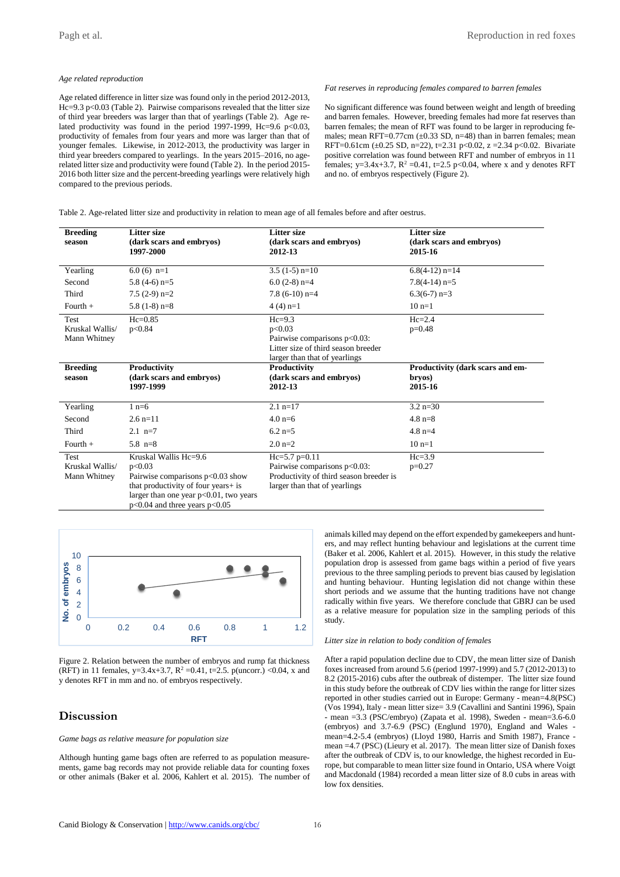### *Age related reproduction*

Age related difference in litter size was found only in the period 2012-2013, Hc=9.3 p<0.03 (Table 2). Pairwise comparisons revealed that the litter size of third year breeders was larger than that of yearlings (Table 2). Age related productivity was found in the period 1997-1999, Hc=9.6 p<0.03, productivity of females from four years and more was larger than that of younger females. Likewise, in 2012-2013, the productivity was larger in third year breeders compared to yearlings. In the years 2015–2016, no agerelated litter size and productivity were found (Table 2). In the period 2015- 2016 both litter size and the percent-breeding yearlings were relatively high compared to the previous periods.

#### *Fat reserves in reproducing females compared to barren females*

No significant difference was found between weight and length of breeding and barren females. However, breeding females had more fat reserves than barren females; the mean of RFT was found to be larger in reproducing females; mean RFT= $0.77$ cm ( $\pm 0.33$  SD, n=48) than in barren females; mean RFT=0.61cm ( $\pm$ 0.25 SD, n=22), t=2.31 p<0.02, z =2.34 p<0.02. Bivariate positive correlation was found between RFT and number of embryos in 11 females; y=3.4x+3.7,  $R^2$  =0.41, t=2.5 p<0.04, where x and y denotes RFT and no. of embryos respectively (Figure 2).

Table 2. Age-related litter size and productivity in relation to mean age of all females before and after oestrus.

| <b>Breeding</b><br>season               | <b>Litter size</b><br>(dark scars and embryos)<br>1997-2000                                                                                                                                    | <b>Litter size</b><br>(dark scars and embryos)<br>2012-13                                                                   | <b>Litter size</b><br>(dark scars and embryos)<br>2015-16 |
|-----------------------------------------|------------------------------------------------------------------------------------------------------------------------------------------------------------------------------------------------|-----------------------------------------------------------------------------------------------------------------------------|-----------------------------------------------------------|
| Yearling                                | $6.0(6)$ n=1                                                                                                                                                                                   | $3.5(1-5)$ n=10                                                                                                             | $6.8(4-12)$ n=14                                          |
| Second                                  | $5.8(4-6)$ n=5                                                                                                                                                                                 | $6.0(2-8)$ n=4                                                                                                              | $7.8(4-14)$ n=5                                           |
| Third                                   | $7.5(2-9)$ n=2                                                                                                                                                                                 | $7.8$ (6-10) n=4                                                                                                            | $6.3(6-7)$ n=3                                            |
| Fourth $+$                              | $5.8(1-8)$ n=8                                                                                                                                                                                 | $4(4)$ n=1                                                                                                                  | $10 n=1$                                                  |
| Test<br>Kruskal Wallis/<br>Mann Whitney | $He=0.85$<br>p<0.84                                                                                                                                                                            | $He=9.3$<br>p<0.03<br>Pairwise comparisons p<0.03:<br>Litter size of third season breeder<br>larger than that of yearlings  | $He=2.4$<br>$p=0.48$                                      |
| <b>Breeding</b><br>season               | Productivity<br>(dark scars and embryos)<br>1997-1999                                                                                                                                          | Productivity<br>(dark scars and embryos)<br>2012-13                                                                         | Productivity (dark scars and em-<br>brvos)<br>2015-16     |
| Yearling                                | $1 n=6$                                                                                                                                                                                        | $2.1$ n=17                                                                                                                  | $3.2 \text{ n} = 30$                                      |
| Second                                  | $2.6$ n=11                                                                                                                                                                                     | $4.0 \text{ n=6}$                                                                                                           | $4.8 \text{ n} = 8$                                       |
| Third                                   | $2.1 n=7$                                                                                                                                                                                      | $6.2$ n=5                                                                                                                   | $4.8 \text{ n=4}$                                         |
| Fourth $+$                              | 5.8 $n=8$                                                                                                                                                                                      | $2.0 n=2$                                                                                                                   | $10 n=1$                                                  |
| Test<br>Kruskal Wallis/<br>Mann Whitney | Kruskal Wallis Hc=9.6<br>p<0.03<br>Pairwise comparisons $p<0.03$ show<br>that productivity of four years+ is<br>larger than one year $p<0.01$ , two years<br>$p<0.04$ and three years $p<0.05$ | $Hc=5.7$ p=0.11<br>Pairwise comparisons p<0.03:<br>Productivity of third season breeder is<br>larger than that of yearlings | $He=3.9$<br>$p=0.27$                                      |



Figure 2. Relation between the number of embryos and rump fat thickness (RFT) in 11 females, y=3.4x+3.7, R<sup>2</sup> =0.41, t=2.5. p(uncorr.) <0.04, x and y denotes RFT in mm and no. of embryos respectively.

### **Discussion**

### *Game bags as relative measure for population size*

Although hunting game bags often are referred to as population measurements, game bag records may not provide reliable data for counting foxes or other animals (Baker et al. 2006, Kahlert et al. 2015). The number of animals killed may depend on the effort expended by gamekeepers and hunters, and may reflect hunting behaviour and legislations at the current time (Baker et al. 2006, Kahlert et al. 2015). However, in this study the relative population drop is assessed from game bags within a period of five years previous to the three sampling periods to prevent bias caused by legislation and hunting behaviour. Hunting legislation did not change within these short periods and we assume that the hunting traditions have not change radically within five years. We therefore conclude that GBRJ can be used as a relative measure for population size in the sampling periods of this study.

### *Litter size in relation to body condition of females*

After a rapid population decline due to CDV, the mean litter size of Danish foxes increased from around 5.6 (period 1997-1999) and 5.7 (2012-2013) to 8.2 (2015-2016) cubs after the outbreak of distemper. The litter size found in this study before the outbreak of CDV lies within the range for litter sizes reported in other studies carried out in Europe: Germany - mean=4.8(PSC) (Vos 1994), Italy - mean litter size= 3.9 (Cavallini and Santini 1996), Spain - mean =3.3 (PSC/embryo) (Zapata et al. 1998), Sweden - mean=3.6-6.0 (embryos) and 3.7-6.9 (PSC) (Englund 1970), England and Wales mean=4.2-5.4 (embryos) (Lloyd 1980, Harris and Smith 1987), France mean =4.7 (PSC) (Lieury et al. 2017). The mean litter size of Danish foxes after the outbreak of CDV is, to our knowledge, the highest recorded in Europe, but comparable to mean litter size found in Ontario, USA where Voigt and Macdonald (1984) recorded a mean litter size of 8.0 cubs in areas with low fox densities.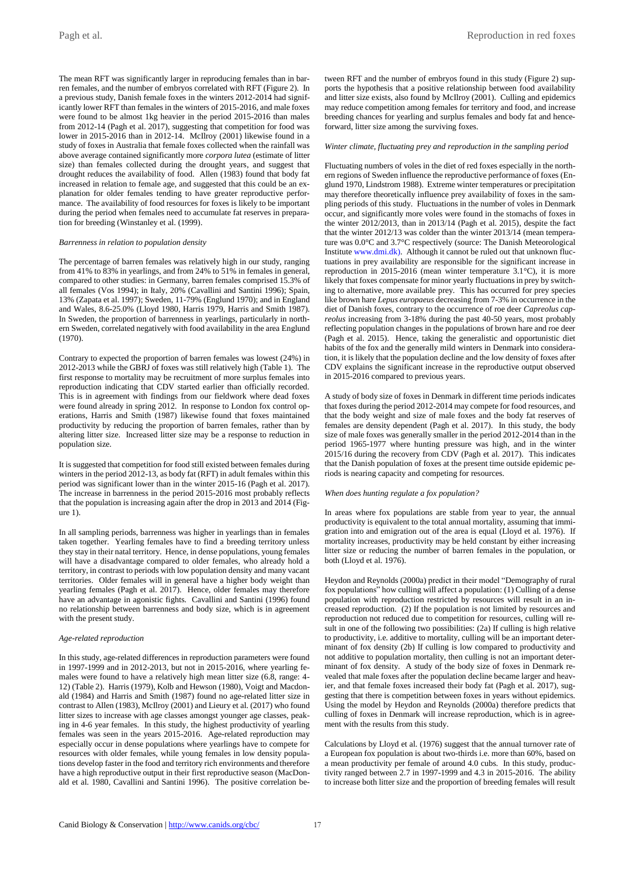The mean RFT was significantly larger in reproducing females than in barren females, and the number of embryos correlated with RFT (Figure 2). In a previous study, Danish female foxes in the winters 2012-2014 had significantly lower RFT than females in the winters of 2015-2016, and male foxes were found to be almost 1kg heavier in the period 2015-2016 than males from 2012-14 (Pagh et al. 2017), suggesting that competition for food was lower in 2015-2016 than in 2012-14. McIlroy (2001) likewise found in a study of foxes in Australia that female foxes collected when the rainfall was above average contained significantly more *corpora lutea* (estimate of litter size) than females collected during the drought years, and suggest that drought reduces the availability of food. Allen (1983) found that body fat increased in relation to female age, and suggested that this could be an explanation for older females tending to have greater reproductive performance. The availability of food resources for foxes is likely to be important during the period when females need to accumulate fat reserves in preparation for breeding (Winstanley et al. (1999).

#### *Barrenness in relation to population density*

The percentage of barren females was relatively high in our study, ranging from 41% to 83% in yearlings, and from 24% to 51% in females in general, compared to other studies: in Germany, barren females comprised 15.3% of all females (Vos 1994); in Italy, 20% (Cavallini and Santini 1996); Spain, 13% (Zapata et al. 1997); Sweden, 11-79% (Englund 1970); and in England and Wales, 8.6-25.0% (Lloyd 1980, Harris 1979, Harris and Smith 1987). In Sweden, the proportion of barrenness in yearlings, particularly in northern Sweden, correlated negatively with food availability in the area Englund (1970).

Contrary to expected the proportion of barren females was lowest (24%) in 2012-2013 while the GBRJ of foxes was still relatively high (Table 1). The first response to mortality may be recruitment of more surplus females into reproduction indicating that CDV started earlier than officially recorded. This is in agreement with findings from our fieldwork where dead foxes were found already in spring 2012. In response to London fox control operations, Harris and Smith (1987) likewise found that foxes maintained productivity by reducing the proportion of barren females, rather than by altering litter size. Increased litter size may be a response to reduction in population size.

It is suggested that competition for food still existed between females during winters in the period 2012-13, as body fat (RFT) in adult females within this period was significant lower than in the winter 2015-16 (Pagh et al. 2017). The increase in barrenness in the period 2015-2016 most probably reflects that the population is increasing again after the drop in 2013 and 2014 (Figure 1).

In all sampling periods, barrenness was higher in yearlings than in females taken together. Yearling females have to find a breeding territory unless they stay in their natal territory. Hence, in dense populations, young females will have a disadvantage compared to older females, who already hold a territory, in contrast to periods with low population density and many vacant territories. Older females will in general have a higher body weight than yearling females (Pagh et al. 2017). Hence, older females may therefore have an advantage in agonistic fights. Cavallini and Santini (1996) found no relationship between barrenness and body size, which is in agreement with the present study.

#### *Age-related reproduction*

In this study, age-related differences in reproduction parameters were found in 1997-1999 and in 2012-2013, but not in 2015-2016, where yearling females were found to have a relatively high mean litter size (6.8, range: 4- 12) (Table 2). Harris (1979), Kolb and Hewson (1980), Voigt and Macdonald (1984) and Harris and Smith (1987) found no age-related litter size in contrast to Allen (1983), McIlroy (2001) and Lieury et al. (2017) who found litter sizes to increase with age classes amongst younger age classes, peaking in 4-6 year females. In this study, the highest productivity of yearling females was seen in the years 2015-2016. Age-related reproduction may especially occur in dense populations where yearlings have to compete for resources with older females, while young females in low density populations develop faster in the food and territory rich environments and therefore have a high reproductive output in their first reproductive season (MacDonald et al. 1980, Cavallini and Santini 1996). The positive correlation between RFT and the number of embryos found in this study (Figure 2) supports the hypothesis that a positive relationship between food availability and litter size exists, also found by McIlroy (2001). Culling and epidemics may reduce competition among females for territory and food, and increase breeding chances for yearling and surplus females and body fat and henceforward, litter size among the surviving foxes.

### *Winter climate, fluctuating prey and reproduction in the sampling period*

Fluctuating numbers of voles in the diet of red foxes especially in the northern regions of Sweden influence the reproductive performance of foxes (Englund 1970, Lindstrom 1988). Extreme winter temperatures or precipitation may therefore theoretically influence prey availability of foxes in the sampling periods of this study. Fluctuations in the number of voles in Denmark occur, and significantly more voles were found in the stomachs of foxes in the winter 2012/2013, than in 2013/14 (Pagh et al. 2015), despite the fact that the winter 2012/13 was colder than the winter 2013/14 (mean temperature was 0.0°C and 3.7°C respectively (source: The Danish Meteorological Institute [www.dmi.dk\).](http://www.dmi.dk)/) Although it cannot be ruled out that unknown fluctuations in prey availability are responsible for the significant increase in reproduction in 2015-2016 (mean winter temperature 3.1°C), it is more likely that foxes compensate for minor yearly fluctuations in prey by switching to alternative, more available prey. This has occurred for prey species like brown hare *Lepus europaeus* decreasing from 7-3% in occurrence in the diet of Danish foxes, contrary to the occurrence of roe deer *Capreolus capreolus* increasing from 3-18% during the past 40-50 years, most probably reflecting population changes in the populations of brown hare and roe deer (Pagh et al. 2015). Hence, taking the generalistic and opportunistic diet habits of the fox and the generally mild winters in Denmark into consideration, it is likely that the population decline and the low density of foxes after CDV explains the significant increase in the reproductive output observed in 2015-2016 compared to previous years.

A study of body size of foxes in Denmark in different time periods indicates that foxes during the period 2012-2014 may compete for food resources, and that the body weight and size of male foxes and the body fat reserves of females are density dependent (Pagh et al. 2017). In this study, the body size of male foxes was generally smaller in the period 2012-2014 than in the period 1965-1977 where hunting pressure was high, and in the winter 2015/16 during the recovery from CDV (Pagh et al. 2017). This indicates that the Danish population of foxes at the present time outside epidemic periods is nearing capacity and competing for resources.

#### *When does hunting regulate a fox population?*

In areas where fox populations are stable from year to year, the annual productivity is equivalent to the total annual mortality, assuming that immigration into and emigration out of the area is equal (Lloyd et al. 1976). If mortality increases, productivity may be held constant by either increasing litter size or reducing the number of barren females in the population, or both (Lloyd et al. 1976).

Heydon and Reynolds (2000a) predict in their model "Demography of rural fox populations" how culling will affect a population: (1) Culling of a dense population with reproduction restricted by resources will result in an increased reproduction. (2) If the population is not limited by resources and reproduction not reduced due to competition for resources, culling will result in one of the following two possibilities: (2a) If culling is high relative to productivity, i.e. additive to mortality, culling will be an important determinant of fox density (2b) If culling is low compared to productivity and not additive to population mortality, then culling is not an important determinant of fox density. A study of the body size of foxes in Denmark revealed that male foxes after the population decline became larger and heavier, and that female foxes increased their body fat (Pagh et al. 2017), suggesting that there is competition between foxes in years without epidemics. Using the model by Heydon and Reynolds (2000a) therefore predicts that culling of foxes in Denmark will increase reproduction, which is in agreement with the results from this study.

Calculations by Lloyd et al. (1976) suggest that the annual turnover rate of a European fox population is about two-thirds i.e. more than 60%, based on a mean productivity per female of around 4.0 cubs. In this study, productivity ranged between 2.7 in 1997-1999 and 4.3 in 2015-2016. The ability to increase both litter size and the proportion of breeding females will result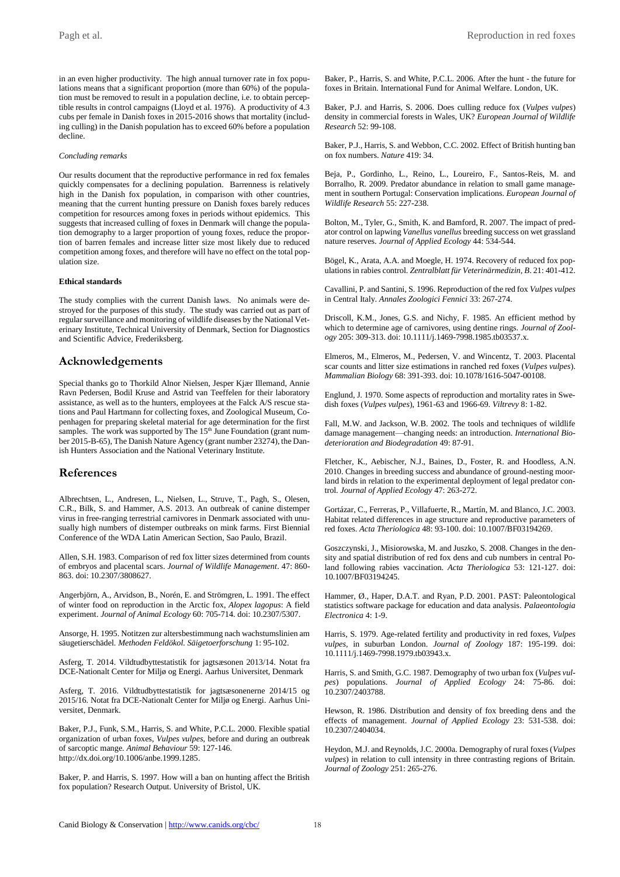in an even higher productivity. The high annual turnover rate in fox populations means that a significant proportion (more than 60%) of the population must be removed to result in a population decline, i.e. to obtain perceptible results in control campaigns (Lloyd et al. 1976). A productivity of 4.3 cubs per female in Danish foxes in 2015-2016 shows that mortality (including culling) in the Danish population has to exceed 60% before a population decline.

### *Concluding remarks*

Our results document that the reproductive performance in red fox females quickly compensates for a declining population. Barrenness is relatively high in the Danish fox population, in comparison with other countries, meaning that the current hunting pressure on Danish foxes barely reduces competition for resources among foxes in periods without epidemics. This suggests that increased culling of foxes in Denmark will change the population demography to a larger proportion of young foxes, reduce the proportion of barren females and increase litter size most likely due to reduced competition among foxes, and therefore will have no effect on the total population size.

### **Ethical standards**

The study complies with the current Danish laws. No animals were destroyed for the purposes of this study. The study was carried out as part of regular surveillance and monitoring of wildlife diseases by the National Veterinary Institute, Technical University of Denmark, Section for Diagnostics and Scientific Advice, Frederiksberg.

### **Acknowledgements**

Special thanks go to Thorkild Alnor Nielsen, Jesper Kjær Illemand, Annie Ravn Pedersen, Bodil Kruse and Astrid van Teeffelen for their laboratory assistance, as well as to the hunters, employees at the Falck A/S rescue stations and Paul Hartmann for collecting foxes, and Zoological Museum, Copenhagen for preparing skeletal material for age determination for the first samples. The work was supported by The 15<sup>th</sup> June Foundation (grant number 2015-B-65), The Danish Nature Agency (grant number 23274), the Danish Hunters Association and the National Veterinary Institute.

### **References**

Albrechtsen, L., Andresen, L., Nielsen, L., Struve, T., Pagh, S., Olesen, C.R., Bilk, S. and Hammer, A.S. 2013. An outbreak of canine distemper virus in free-ranging terrestrial carnivores in Denmark associated with unusually high numbers of distemper outbreaks on mink farms. First Biennial Conference of the WDA Latin American Section, Sao Paulo, Brazil.

Allen, S.H. 1983. Comparison of red fox litter sizes determined from counts of embryos and placental scars. *Journal of Wildlife Management*. 47: 860- 863. doi: 10.2307/3808627.

Angerbjörn, A., Arvidson, B., Norén, E. and Strömgren, L. 1991. The effect of winter food on reproduction in the Arctic fox, *Alopex lagopus*: A field experiment. *Journal of Animal Ecology* 60: 705-714. doi: 10.2307/5307.

Ansorge, H. 1995. Notitzen zur altersbestimmung nach wachstumslinien am säugetierschädel. *Methoden Feldökol. Säigetoerforschung* 1: 95-102.

Asferg, T. 2014. Vildtudbyttestatistik for jagtsæsonen 2013/14. Notat fra DCE-Nationalt Center for Miljø og Energi. Aarhus Universitet, Denmark

Asferg, T. 2016. Vildtudbyttestatistik for jagtsæsonenerne 2014/15 og 2015/16. Notat fra DCE-Nationalt Center for Miljø og Energi. Aarhus Universitet, Denmark.

Baker, P.J., Funk, S.M., Harris, S. and White, P.C.L. 2000. Flexible spatial organization of urban foxes, *Vulpes vulpes*, before and during an outbreak of sarcoptic mange. *Animal Behaviour* 59: 127-146. [http://dx.doi.org/10.1006/anbe.1999.1285.](http://dx.doi.org/10.1006/anbe.1999.1285)

Baker, P. and Harris, S. 1997. How will a ban on hunting affect the British fox population? Research Output. University of Bristol, UK.

Baker, P., Harris, S. and White, P.C.L. 2006. After the hunt - the future for foxes in Britain. International Fund for Animal Welfare. London, UK.

Baker, P.J. and Harris, S. 2006. Does culling reduce fox (*Vulpes vulpes*) density in commercial forests in Wales, UK? *European Journal of Wildlife Research* 52: 99-108.

Baker, P.J., Harris, S. and Webbon, C.C. 2002. Effect of British hunting ban on fox numbers. *Nature* 419: 34.

Beja, P., Gordinho, L., Reino, L., Loureiro, F., Santos-Reis, M. and Borralho, R. 2009. Predator abundance in relation to small game management in southern Portugal: Conservation implications. *European Journal of Wildlife Research* 55: 227-238.

Bolton, M., Tyler, G., Smith, K. and Bamford, R. 2007. The impact of predator control on lapwing *Vanellus vanellus* breeding success on wet grassland nature reserves. *Journal of Applied Ecology* 44: 534-544.

Bögel, K., Arata, A.A. and Moegle, H. 1974. Recovery of reduced fox populations in rabies control. *Zentralblatt für Veterinärmedizin, B*. 21: 401-412.

Cavallini, P. and Santini, S. 1996. Reproduction of the red fox *Vulpes vulpes* in Central Italy. *Annales Zoologici Fennici* 33: 267-274.

Driscoll, K.M., Jones, G.S. and Nichy, F. 1985. An efficient method by which to determine age of carnivores, using dentine rings. *Journal of Zoology* 205: 309-313. doi: 10.1111/j.1469-7998.1985.tb03537.x.

Elmeros, M., Elmeros, M., Pedersen, V. and Wincentz, T. 2003. Placental scar counts and litter size estimations in ranched red foxes (*Vulpes vulpes*). *Mammalian Biology* 68: 391-393. doi: 10.1078/1616-5047-00108.

Englund, J. 1970. Some aspects of reproduction and mortality rates in Swedish foxes (*Vulpes vulpes*), 1961-63 and 1966-69. *Viltrevy* 8: 1-82.

Fall, M.W. and Jackson, W.B. 2002. The tools and techniques of wildlife damage management—changing needs: an introduction. *International Biodeterioration and Biodegradation* 49: 87-91.

Fletcher, K., Aebischer, N.J., Baines, D., Foster, R. and Hoodless, A.N. 2010. Changes in breeding success and abundance of ground-nesting moorland birds in relation to the experimental deployment of legal predator control. *Journal of Applied Ecology* 47: 263-272.

Gortázar, C., Ferreras, P., Villafuerte, R., Martín, M. and Blanco, J.C. 2003. Habitat related differences in age structure and reproductive parameters of red foxes. *Acta Theriologica* 48: 93-100. doi: 10.1007/BF03194269.

Goszczynski, J., Misiorowska, M. and Juszko, S. 2008. Changes in the density and spatial distribution of red fox dens and cub numbers in central Poland following rabies vaccination. *Acta Theriologica* 53: 121-127. doi: 10.1007/BF03194245.

Hammer, Ø., Haper, D.A.T. and Ryan, P.D. 2001. PAST: Paleontological statistics software package for education and data analysis. *Palaeontologia Electronica* 4: 1-9.

Harris, S. 1979. Age-related fertility and productivity in red foxes, *Vulpes vulpes*, in suburban London. *Journal of Zoology* 187: 195-199. doi: 10.1111/j.1469-7998.1979.tb03943.x.

Harris, S. and Smith, G.C. 1987. Demography of two urban fox (*Vulpes vulpes*) populations. *Journal of Applied Ecology* 24: 75-86. doi: 10.2307/2403788.

Hewson, R. 1986. Distribution and density of fox breeding dens and the effects of management. *Journal of Applied Ecology* 23: 531-538. doi: 10.2307/2404034.

Heydon, M.J. and Reynolds, J.C. 2000a. Demography of rural foxes (*Vulpes vulpes*) in relation to cull intensity in three contrasting regions of Britain. *Journal of Zoology* 251: 265-276.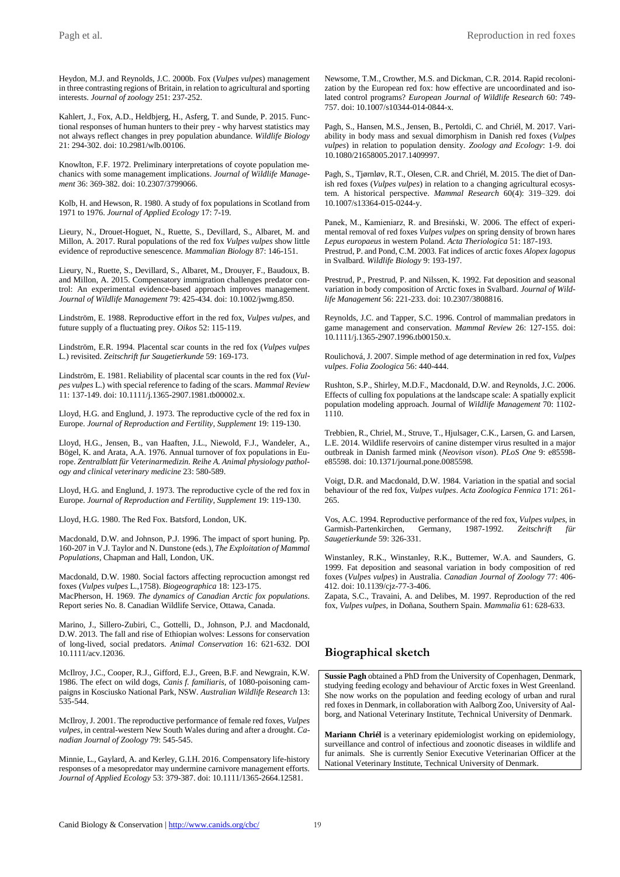Heydon, M.J. and Reynolds, J.C. 2000b. Fox (*Vulpes vulpes*) management in three contrasting regions of Britain, in relation to agricultural and sporting interests. *Journal of zoology* 251: 237-252.

Kahlert, J., Fox, A.D., Heldbjerg, H., Asferg, T. and Sunde, P. 2015. Functional responses of human hunters to their prey - why harvest statistics may not always reflect changes in prey population abundance. *Wildlife Biology* 21: 294-302. doi: 10.2981/wlb.00106.

Knowlton, F.F. 1972. Preliminary interpretations of coyote population mechanics with some management implications. *Journal of Wildlife Management* 36: 369-382. doi: 10.2307/3799066.

Kolb, H. and Hewson, R. 1980. A study of fox populations in Scotland from 1971 to 1976. *Journal of Applied Ecology* 17: 7-19.

Lieury, N., Drouet-Hoguet, N., Ruette, S., Devillard, S., Albaret, M. and Millon, A. 2017. Rural populations of the red fox *Vulpes vulpes* show little evidence of reproductive senescence. *[Mammalian Biology](http://www.refworks.com/refworks2/?r=references|MainLayout::init)* 87: 146-151.

Lieury, N., Ruette, S., Devillard, S., Albaret, M., Drouyer, F., Baudoux, B. and Millon, A. 2015. Compensatory immigration challenges predator control: An experimental evidence-based approach improves management. *Journal of Wildlife Management* 79: 425-434. doi: 10.1002/jwmg.850.

Lindström, E. 1988. Reproductive effort in the red fox, *Vulpes vulpes*, and future supply of a fluctuating prey. *Oikos* 52: 115-119.

Lindström, E.R. 1994. Placental scar counts in the red fox (*Vulpes vulpes* L.) revisited. *Zeitschrift fur Saugetierkunde* 59: 169-173.

Lindström, E. 1981. Reliability of placental scar counts in the red fox (*Vulpes vulpes* L.) with special reference to fading of the scars. *Mammal Review* 11: 137-149. doi: 10.1111/j.1365-2907.1981.tb00002.x.

Lloyd, H.G. and Englund, J. 1973. The reproductive cycle of the red fox in Europe. *Journal of Reproduction and Fertility, Supplement* 19: 119-130.

Lloyd, H.G., Jensen, B., van Haaften, J.L., Niewold, F.J., Wandeler, A., Bögel, K. and Arata, A.A. 1976. Annual turnover of fox populations in Europe. *Zentralblatt für Veterinarmedizin. Reihe A. Animal physiology pathology and clinical veterinary medicine* 23: 580-589.

Lloyd, H.G. and Englund, J. 1973. The reproductive cycle of the red fox in Europe. *Journal of Reproduction and Fertility, Supplement* 19: 119-130.

Lloyd, H.G. 1980. The Red Fox. Batsford, London, UK.

Macdonald, D.W. and Johnson, P.J. 1996. The impact of sport huning. Pp. 160-207 in V.J. Taylor and N. Dunstone (eds.), *The Exploitation of Mammal Populations*, Chapman and Hall, London, UK.

Macdonald, D.W. 1980. Social factors affecting reprocuction amongst red foxes (*Vulpes vulpes* L.,1758). *Biogeographica* 18: 123-175. MacPherson, H. 1969. *The dynamics of Canadian Arctic fox populations*. Report series No. 8. Canadian Wildlife Service, Ottawa, Canada.

Marino, J., Sillero-Zubiri, C., Gottelli, D., Johnson, P.J. and Macdonald, D.W. 2013. The fall and rise of Ethiopian wolves: Lessons for conservation of long-lived, social predators. *Animal Conservation* 16: 621-632. DOI 10.1111/acv.12036.

McIlroy, J.C., Cooper, R.J., Gifford, E.J., Green, B.F. and Newgrain, K.W. 1986. The efect on wild dogs, *Canis f. familiaris*, of 1080-poisoning campaigns in Kosciusko National Park, NSW. *Australian Wildlife Research* 13: 535-544.

McIlroy, J. 2001. The reproductive performance of female red foxes, *Vulpes vulpes*, in central-western New South Wales during and after a drought. *Canadian Journal of Zoology* 79: 545-545.

Minnie, L., Gaylard, A. and Kerley, G.I.H. 2016. Compensatory life-history responses of a mesopredator may undermine carnivore management efforts. *Journal of Applied Ecology* 53: 379-387. doi: 10.1111/1365-2664.12581.

Newsome, T.M., Crowther, M.S. and Dickman, C.R. 2014. Rapid recolonization by the European red fox: how effective are uncoordinated and isolated control programs? *European Journal of Wildlife Research* 60: 749- 757. doi: 10.1007/s10344-014-0844-x.

Pagh, S., Hansen, M.S., Jensen, B., Pertoldi, C. and Chriél, M. 2017. Variability in body mass and sexual dimorphism in Danish red foxes (*Vulpes vulpes*) in relation to population density. *Zoology and Ecology*: 1-9. doi 10.1080/21658005.2017.1409997.

Pagh, S., Tjørnløv, R.T., Olesen, C.R. and Chriél, M. 2015. The diet of Danish red foxes (*Vulpes vulpes*) in relation to a changing agricultural ecosystem. A historical perspective. *Mammal Research* 60(4): 319–329. doi 10.1007/s13364-015-0244-y.

Panek, M., Kamieniarz, R. and Bresiński, W. 2006. The effect of experimental removal of red foxes *Vulpes vulpes* on spring density of brown hares *Lepus europaeus* in western Poland. *Acta Theriologica* 51: 187-193. Prestrud, P. and Pond, C.M. 2003. Fat indices of arctic foxes *Alopex lagopus* in Svalbard. *Wildlife Biology* 9: 193-197.

Prestrud, P., Prestrud, P. and Nilssen, K. 1992. Fat deposition and seasonal variation in body composition of Arctic foxes in Svalbard. *Journal of Wildlife Management* 56: 221-233. doi: 10.2307/3808816.

Reynolds, J.C. and Tapper, S.C. 1996. Control of mammalian predators in game management and conservation. *Mammal Review* 26: 127-155. doi: 10.1111/j.1365-2907.1996.tb00150.x.

Roulichová, J. 2007. Simple method of age determination in red fox, *Vulpes vulpes*. *Folia Zoologica* 56: 440-444.

Rushton, S.P., Shirley, M.D.F., Macdonald, D.W. and Reynolds, J.C. 2006. Effects of culling fox populations at the landscape scale: A spatially explicit population modeling approach. Journal of *Wildlife Management* 70: 1102- 1110.

Trebbien, R., Chriel, M., Struve, T., Hjulsager, C.K., Larsen, G. and Larsen, L.E. 2014. Wildlife reservoirs of canine distemper virus resulted in a major outbreak in Danish farmed mink (*Neovison vison*). *PLoS One* 9: e85598 e85598. doi: 10.1371/journal.pone.0085598.

Voigt, D.R. and Macdonald, D.W. 1984. Variation in the spatial and social behaviour of the red fox, *Vulpes vulpes*. *Acta Zoologica Fennica* 171: 261- 265.

Vos, A.C. 1994. Reproductive performance of the red fox, *Vulpes vulpes*, in Garmish-Partenkirchen, Germany, 1987-1992. *Zeitschrift für Saugetierkunde* 59: 326-331.

Winstanley, R.K., Winstanley, R.K., Buttemer, W.A. and Saunders, G. 1999. Fat deposition and seasonal variation in body composition of red foxes (*Vulpes vulpes*) in Australia. *Canadian Journal of Zoology* 77: 406- 412. doi: 10.1139/cjz-77-3-406.

Zapata, S.C., Travaini, A. and Delibes, M. 1997. Reproduction of the red fox, *Vulpes vulpes*, in Doñana, Southern Spain. *Mammalia* 61: 628-633.

## **Biographical sketch**

**Sussie Pagh** obtained a PhD from the University of Copenhagen, Denmark, studying feeding ecology and behaviour of Arctic foxes in West Greenland. She now works on the population and feeding ecology of urban and rural red foxes in Denmark, in collaboration with Aalborg Zoo, University of Aalborg, and National Veterinary Institute, Technical University of Denmark.

**Mariann Chriél** is a veterinary epidemiologist working on epidemiology, surveillance and control of infectious and zoonotic diseases in wildlife and fur animals. She is currently Senior Executive Veterinarian Officer at the National Veterinary Institute, Technical University of Denmark.